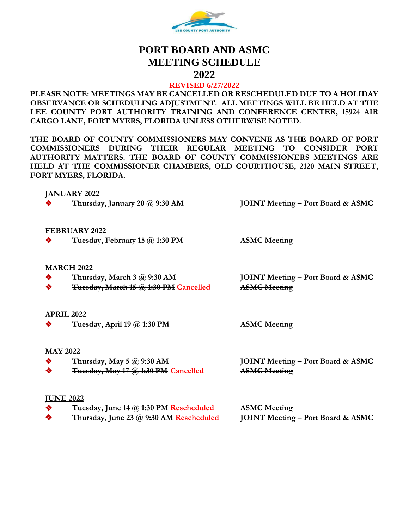

# **PORT BOARD AND ASMC MEETING SCHEDULE**

**2022**

## **REVISED 6/27/2022**

**PLEASE NOTE: MEETINGS MAY BE CANCELLED OR RESCHEDULED DUE TO A HOLIDAY OBSERVANCE OR SCHEDULING ADJUSTMENT. ALL MEETINGS WILL BE HELD AT THE LEE COUNTY PORT AUTHORITY TRAINING AND CONFERENCE CENTER, 15924 AIR CARGO LANE, FORT MYERS, FLORIDA UNLESS OTHERWISE NOTED.**

**THE BOARD OF COUNTY COMMISSIONERS MAY CONVENE AS THE BOARD OF PORT COMMISSIONERS DURING THEIR REGULAR MEETING TO CONSIDER PORT AUTHORITY MATTERS. THE BOARD OF COUNTY COMMISSIONERS MEETINGS ARE HELD AT THE COMMISSIONER CHAMBERS, OLD COURTHOUSE, 2120 MAIN STREET, FORT MYERS, FLORIDA.**

## **JANUARY 2022**



❖ **Thursday, January 20 @ 9:30 AM JOINT Meeting – Port Board & ASMC**

## **FEBRUARY 2022**

❖ **Tuesday, February 15 @ 1:30 PM ASMC Meeting**

## **MARCH 2022**

- 
- ❖ **Tuesday, March 15 @ 1:30 PM Cancelled ASMC Meeting**

❖ **Thursday, March 3 @ 9:30 AM JOINT Meeting – Port Board & ASMC**

## **APRIL 2022**

❖ **Tuesday, April 19 @ 1:30 PM ASMC Meeting**

## **MAY 2022**

- 
- ❖ **Tuesday, May 17 @ 1:30 PM Cancelled ASMC Meeting**

❖ **Thursday, May 5 @ 9:30 AM JOINT Meeting – Port Board & ASMC** 

## **JUNE 2022**

- ❖ **Tuesday, June 14 @ 1:30 PM Rescheduled ASMC Meeting** ❖ **Thursday, June 23 @ 9:30 AM Rescheduled JOINT Meeting – Port Board & ASMC**
-